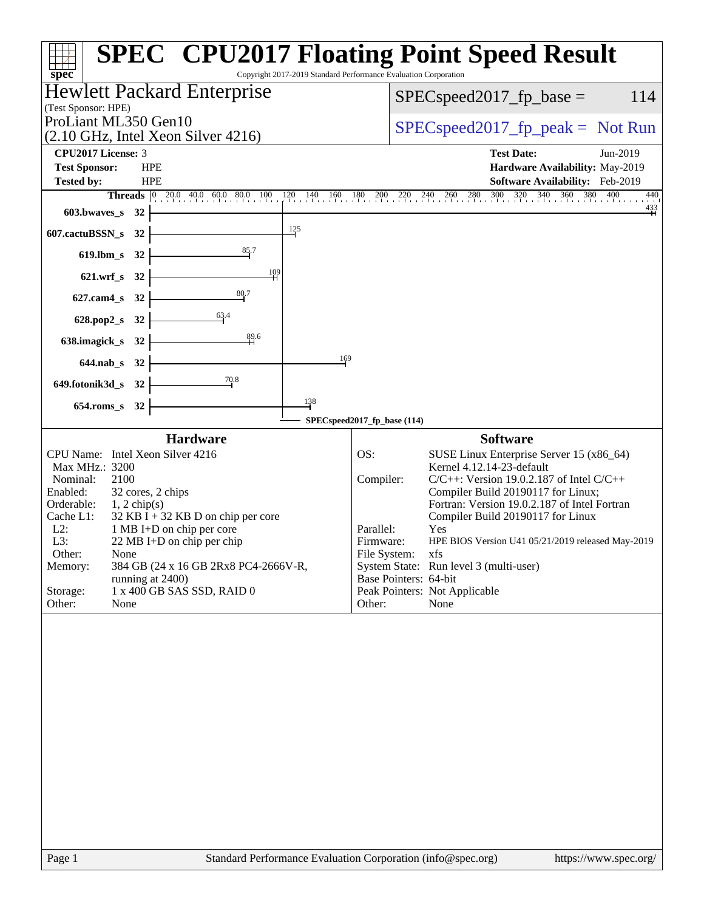| spec <sup>®</sup>                                                                 | <b>SPEC<sup>®</sup> CPU2017 Floating Point Speed Result</b><br>Copyright 2017-2019 Standard Performance Evaluation Corporation |
|-----------------------------------------------------------------------------------|--------------------------------------------------------------------------------------------------------------------------------|
| Hewlett Packard Enterprise<br>(Test Sponsor: HPE)                                 | 114<br>$SPEC speed2017fp base =$                                                                                               |
| ProLiant ML350 Gen10                                                              | $SPEC speed2017rfp peak = Not Run$                                                                                             |
| $(2.10 \text{ GHz}, \text{Intel Xeon Silver } 4216)$                              |                                                                                                                                |
| CPU2017 License: 3<br><b>Test Sponsor:</b><br><b>HPE</b>                          | <b>Test Date:</b><br>Jun-2019<br>Hardware Availability: May-2019                                                               |
| <b>Tested by:</b><br><b>HPE</b>                                                   | <b>Software Availability:</b> Feb-2019                                                                                         |
|                                                                                   | <b>Threads</b> 0 20.0 40.0 60.0 80.0 100 120 140 160 180 200 220 240 260 280 300 320 340 360 380 400<br>440                    |
| $603.bwaves$ 32                                                                   | $\frac{433}{1}$                                                                                                                |
| $\frac{125}{5}$<br>$607$ .cactuBSSN_s 32                                          |                                                                                                                                |
| 85.7<br>619.lbm_s $32 \div$                                                       |                                                                                                                                |
| 109<br>$621.wrf_s$ 32                                                             |                                                                                                                                |
| 80.7<br>627.cam4_s 32 $\frac{1}{2}$                                               |                                                                                                                                |
| $628. pop2_s 32$                                                                  |                                                                                                                                |
| $\frac{89.6}{4}$<br>$638$ .imagick_s $32$                                         |                                                                                                                                |
| 169<br>$644.nab_s$ 32                                                             |                                                                                                                                |
| 70.8<br>$649.$ fotonik $3d_s$ 32                                                  |                                                                                                                                |
| 138                                                                               |                                                                                                                                |
| 654.roms_s 32                                                                     | SPECspeed2017_fp_base (114)                                                                                                    |
| <b>Hardware</b>                                                                   | <b>Software</b>                                                                                                                |
| CPU Name: Intel Xeon Silver 4216                                                  | OS:<br>SUSE Linux Enterprise Server 15 (x86_64)                                                                                |
| Max MHz.: 3200<br>2100<br>Nominal:                                                | Kernel 4.12.14-23-default<br>Compiler:<br>$C/C++$ : Version 19.0.2.187 of Intel $C/C++$                                        |
| 32 cores, 2 chips<br>Enabled:                                                     | Compiler Build 20190117 for Linux;                                                                                             |
| Orderable:<br>$1, 2$ chip(s)<br>$32$ KB I + 32 KB D on chip per core<br>Cache L1: | Fortran: Version 19.0.2.187 of Intel Fortran<br>Compiler Build 20190117 for Linux                                              |
| $L2$ :<br>1 MB I+D on chip per core<br>L3:<br>22 MB I+D on chip per chip          | Parallel:<br>Yes<br>Firmware:<br>HPE BIOS Version U41 05/21/2019 released May-2019                                             |
| Other:<br>None                                                                    | File System:<br>xfs                                                                                                            |
| Memory:<br>384 GB (24 x 16 GB 2Rx8 PC4-2666V-R,                                   | System State: Run level 3 (multi-user)<br>Base Pointers: 64-bit                                                                |
| running at 2400)<br>1 x 400 GB SAS SSD, RAID 0<br>Storage:                        | Peak Pointers: Not Applicable                                                                                                  |
| Other:<br>None                                                                    | None<br>Other:                                                                                                                 |
|                                                                                   |                                                                                                                                |
| Page 1                                                                            | Standard Performance Evaluation Corporation (info@spec.org)<br>https://www.spec.org/                                           |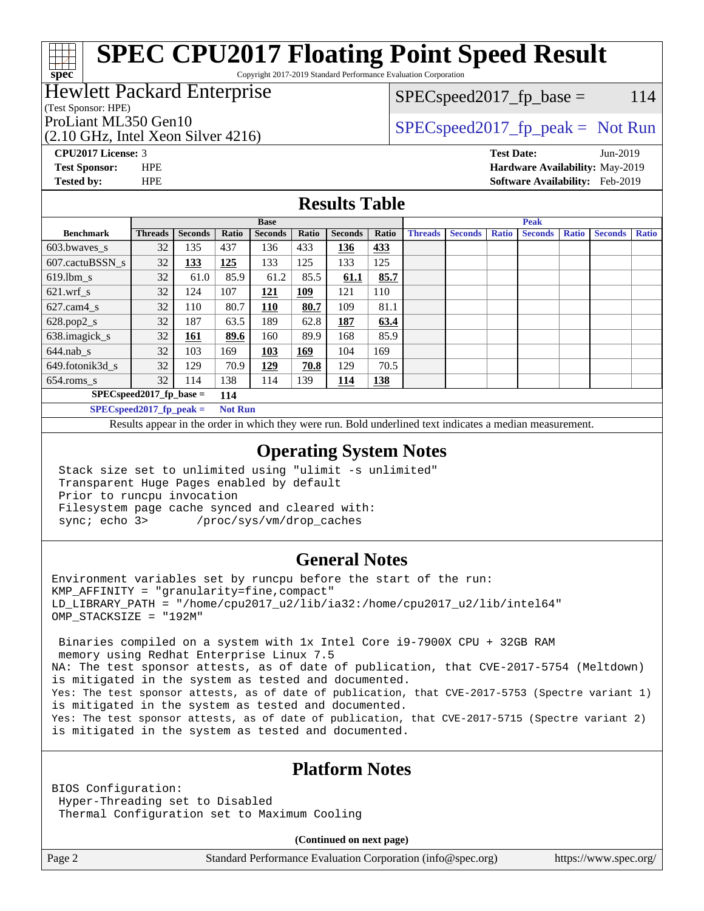Copyright 2017-2019 Standard Performance Evaluation Corporation

### Hewlett Packard Enterprise

(Test Sponsor: HPE)

**[spec](http://www.spec.org/)**

 $SPEC speed2017_fp\_base = 114$ 

(2.10 GHz, Intel Xeon Silver 4216)

ProLiant ML350 Gen10  $SPEC speed2017_f$   $peak = Not Run$ 

**[CPU2017 License:](http://www.spec.org/auto/cpu2017/Docs/result-fields.html#CPU2017License)** 3 **[Test Date:](http://www.spec.org/auto/cpu2017/Docs/result-fields.html#TestDate)** Jun-2019

**[Test Sponsor:](http://www.spec.org/auto/cpu2017/Docs/result-fields.html#TestSponsor)** HPE **[Hardware Availability:](http://www.spec.org/auto/cpu2017/Docs/result-fields.html#HardwareAvailability)** May-2019 **[Tested by:](http://www.spec.org/auto/cpu2017/Docs/result-fields.html#Testedby)** HPE **[Software Availability:](http://www.spec.org/auto/cpu2017/Docs/result-fields.html#SoftwareAvailability)** Feb-2019

#### **[Results Table](http://www.spec.org/auto/cpu2017/Docs/result-fields.html#ResultsTable)**

|                            | <b>Base</b>                |                |                |                |       | <b>Peak</b>    |            |                |                |              |                |              |                |              |
|----------------------------|----------------------------|----------------|----------------|----------------|-------|----------------|------------|----------------|----------------|--------------|----------------|--------------|----------------|--------------|
| <b>Benchmark</b>           | <b>Threads</b>             | <b>Seconds</b> | Ratio          | <b>Seconds</b> | Ratio | <b>Seconds</b> | Ratio      | <b>Threads</b> | <b>Seconds</b> | <b>Ratio</b> | <b>Seconds</b> | <b>Ratio</b> | <b>Seconds</b> | <b>Ratio</b> |
| 603.bwayes s               | 32                         | 135            | 437            | 136            | 433   | 136            | 433        |                |                |              |                |              |                |              |
| 607.cactuBSSN s            | 32                         | <u>133</u>     | 125            | 133            | 125   | 133            | 125        |                |                |              |                |              |                |              |
| $619.1$ bm s               | 32                         | 61.0           | 85.9           | 61.2           | 85.5  | 61.1           | 85.7       |                |                |              |                |              |                |              |
| $621$ .wrf s               | 32                         | 124            | 107            | 121            | 109   | 121            | 110        |                |                |              |                |              |                |              |
| $627$ .cam $4 \text{ s}$   | 32                         | 110            | 80.7           | 110            | 80.7  | 109            | 81.1       |                |                |              |                |              |                |              |
| $628.pop2_s$               | 32                         | 187            | 63.5           | 189            | 62.8  | 187            | 63.4       |                |                |              |                |              |                |              |
| 638.imagick_s              | 32                         | 161            | 89.6           | 160            | 89.9  | 168            | 85.9       |                |                |              |                |              |                |              |
| $644$ .nab s               | 32                         | 103            | 169            | 103            | 169   | 104            | 169        |                |                |              |                |              |                |              |
| 649.fotonik3d s            | 32                         | 129            | 70.9           | <u> 129</u>    | 70.8  | 129            | 70.5       |                |                |              |                |              |                |              |
| $654$ .roms s              | 32                         | 114            | 138            | 114            | 139   | <b>114</b>     | <b>138</b> |                |                |              |                |              |                |              |
|                            | $SPEC speed2017$ fp base = |                | 114            |                |       |                |            |                |                |              |                |              |                |              |
| $SPECspeed2017_fp\_peak =$ |                            |                | <b>Not Run</b> |                |       |                |            |                |                |              |                |              |                |              |

Results appear in the [order in which they were run.](http://www.spec.org/auto/cpu2017/Docs/result-fields.html#RunOrder) Bold underlined text [indicates a median measurement](http://www.spec.org/auto/cpu2017/Docs/result-fields.html#Median).

#### **[Operating System Notes](http://www.spec.org/auto/cpu2017/Docs/result-fields.html#OperatingSystemNotes)**

 Stack size set to unlimited using "ulimit -s unlimited" Transparent Huge Pages enabled by default Prior to runcpu invocation Filesystem page cache synced and cleared with: sync; echo 3> /proc/sys/vm/drop\_caches

#### **[General Notes](http://www.spec.org/auto/cpu2017/Docs/result-fields.html#GeneralNotes)**

Environment variables set by runcpu before the start of the run:  $KMP$  AFFINITY = "granularity=fine, compact" LD\_LIBRARY\_PATH = "/home/cpu2017\_u2/lib/ia32:/home/cpu2017\_u2/lib/intel64" OMP\_STACKSIZE = "192M"

 Binaries compiled on a system with 1x Intel Core i9-7900X CPU + 32GB RAM memory using Redhat Enterprise Linux 7.5 NA: The test sponsor attests, as of date of publication, that CVE-2017-5754 (Meltdown) is mitigated in the system as tested and documented. Yes: The test sponsor attests, as of date of publication, that CVE-2017-5753 (Spectre variant 1) is mitigated in the system as tested and documented. Yes: The test sponsor attests, as of date of publication, that CVE-2017-5715 (Spectre variant 2) is mitigated in the system as tested and documented.

#### **[Platform Notes](http://www.spec.org/auto/cpu2017/Docs/result-fields.html#PlatformNotes)**

BIOS Configuration: Hyper-Threading set to Disabled Thermal Configuration set to Maximum Cooling

**(Continued on next page)**

Page 2 Standard Performance Evaluation Corporation [\(info@spec.org\)](mailto:info@spec.org) <https://www.spec.org/>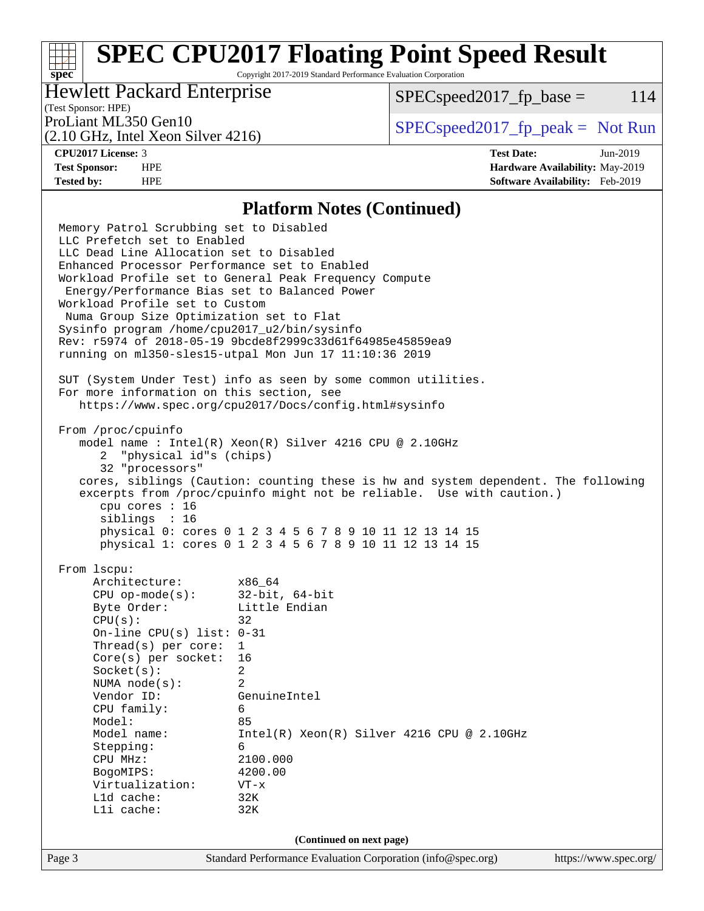Copyright 2017-2019 Standard Performance Evaluation Corporation

### Hewlett Packard Enterprise

 $SPEC speed2017<sub>fp</sub> base =  $114$$ 

## (Test Sponsor: HPE)

(2.10 GHz, Intel Xeon Silver 4216)

ProLiant ML350 Gen10  $SPEC speed2017$  [p\_peak = Not Run

**[spec](http://www.spec.org/)**

**[CPU2017 License:](http://www.spec.org/auto/cpu2017/Docs/result-fields.html#CPU2017License)** 3 **[Test Date:](http://www.spec.org/auto/cpu2017/Docs/result-fields.html#TestDate)** Jun-2019 **[Test Sponsor:](http://www.spec.org/auto/cpu2017/Docs/result-fields.html#TestSponsor)** HPE **[Hardware Availability:](http://www.spec.org/auto/cpu2017/Docs/result-fields.html#HardwareAvailability)** May-2019 **[Tested by:](http://www.spec.org/auto/cpu2017/Docs/result-fields.html#Testedby)** HPE **[Software Availability:](http://www.spec.org/auto/cpu2017/Docs/result-fields.html#SoftwareAvailability)** Feb-2019

#### **[Platform Notes \(Continued\)](http://www.spec.org/auto/cpu2017/Docs/result-fields.html#PlatformNotes)**

Page 3 Standard Performance Evaluation Corporation [\(info@spec.org\)](mailto:info@spec.org) <https://www.spec.org/> Memory Patrol Scrubbing set to Disabled LLC Prefetch set to Enabled LLC Dead Line Allocation set to Disabled Enhanced Processor Performance set to Enabled Workload Profile set to General Peak Frequency Compute Energy/Performance Bias set to Balanced Power Workload Profile set to Custom Numa Group Size Optimization set to Flat Sysinfo program /home/cpu2017\_u2/bin/sysinfo Rev: r5974 of 2018-05-19 9bcde8f2999c33d61f64985e45859ea9 running on ml350-sles15-utpal Mon Jun 17 11:10:36 2019 SUT (System Under Test) info as seen by some common utilities. For more information on this section, see <https://www.spec.org/cpu2017/Docs/config.html#sysinfo> From /proc/cpuinfo model name : Intel(R) Xeon(R) Silver 4216 CPU @ 2.10GHz 2 "physical id"s (chips) 32 "processors" cores, siblings (Caution: counting these is hw and system dependent. The following excerpts from /proc/cpuinfo might not be reliable. Use with caution.) cpu cores : 16 siblings : 16 physical 0: cores 0 1 2 3 4 5 6 7 8 9 10 11 12 13 14 15 physical 1: cores 0 1 2 3 4 5 6 7 8 9 10 11 12 13 14 15 From lscpu: Architecture: x86\_64 CPU op-mode(s): 32-bit, 64-bit Byte Order: Little Endian  $CPU(s):$  32 On-line CPU(s) list: 0-31 Thread(s) per core: 1 Core(s) per socket: 16 Socket(s): 2 NUMA node(s): 2 Vendor ID: GenuineIntel CPU family: 6 Model: 85 Model name: Intel(R) Xeon(R) Silver 4216 CPU @ 2.10GHz Stepping: 6 CPU MHz: 2100.000 BogoMIPS: 4200.00 Virtualization: VT-x L1d cache: 32K L1i cache: 32K **(Continued on next page)**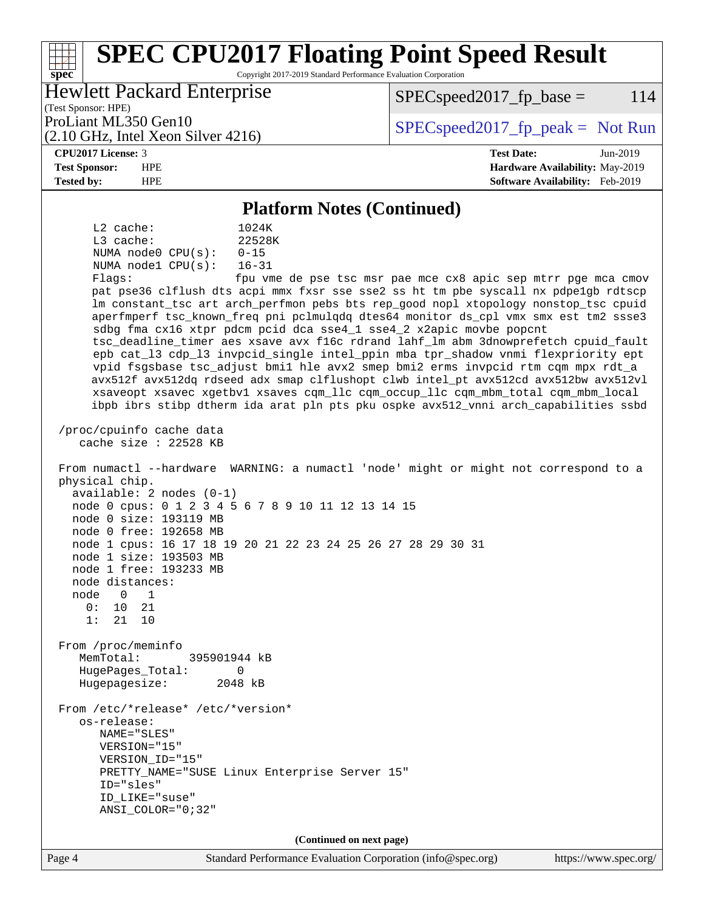#### Page 4 Standard Performance Evaluation Corporation [\(info@spec.org\)](mailto:info@spec.org) <https://www.spec.org/> **[spec](http://www.spec.org/) [SPEC CPU2017 Floating Point Speed Result](http://www.spec.org/auto/cpu2017/Docs/result-fields.html#SPECCPU2017FloatingPointSpeedResult)** Copyright 2017-2019 Standard Performance Evaluation Corporation (Test Sponsor: HPE) Hewlett Packard Enterprise (2.10 GHz, Intel Xeon Silver 4216) ProLiant ML350 Gen10  $SPEC speed2017$  [p\_peak = Not Run  $SPEC speed2017<sub>fp</sub> base =  $114$$ **[CPU2017 License:](http://www.spec.org/auto/cpu2017/Docs/result-fields.html#CPU2017License)** 3 **[Test Date:](http://www.spec.org/auto/cpu2017/Docs/result-fields.html#TestDate)** Jun-2019 **[Test Sponsor:](http://www.spec.org/auto/cpu2017/Docs/result-fields.html#TestSponsor)** HPE **[Hardware Availability:](http://www.spec.org/auto/cpu2017/Docs/result-fields.html#HardwareAvailability)** May-2019 **[Tested by:](http://www.spec.org/auto/cpu2017/Docs/result-fields.html#Testedby)** HPE **[Software Availability:](http://www.spec.org/auto/cpu2017/Docs/result-fields.html#SoftwareAvailability)** Feb-2019 **[Platform Notes \(Continued\)](http://www.spec.org/auto/cpu2017/Docs/result-fields.html#PlatformNotes)** L2 cache: 1024K L3 cache: 22528K NUMA node0 CPU(s): 0-15 NUMA node1 CPU(s): 16-31 Flags: fpu vme de pse tsc msr pae mce cx8 apic sep mtrr pge mca cmov pat pse36 clflush dts acpi mmx fxsr sse sse2 ss ht tm pbe syscall nx pdpe1gb rdtscp lm constant\_tsc art arch\_perfmon pebs bts rep\_good nopl xtopology nonstop\_tsc cpuid aperfmperf tsc\_known\_freq pni pclmulqdq dtes64 monitor ds\_cpl vmx smx est tm2 ssse3 sdbg fma cx16 xtpr pdcm pcid dca sse4\_1 sse4\_2 x2apic movbe popcnt tsc\_deadline\_timer aes xsave avx f16c rdrand lahf\_lm abm 3dnowprefetch cpuid\_fault epb cat\_l3 cdp\_l3 invpcid\_single intel\_ppin mba tpr\_shadow vnmi flexpriority ept vpid fsgsbase tsc\_adjust bmi1 hle avx2 smep bmi2 erms invpcid rtm cqm mpx rdt\_a avx512f avx512dq rdseed adx smap clflushopt clwb intel\_pt avx512cd avx512bw avx512vl xsaveopt xsavec xgetbv1 xsaves cqm\_llc cqm\_occup\_llc cqm\_mbm\_total cqm\_mbm\_local ibpb ibrs stibp dtherm ida arat pln pts pku ospke avx512\_vnni arch\_capabilities ssbd /proc/cpuinfo cache data cache size : 22528 KB From numactl --hardware WARNING: a numactl 'node' might or might not correspond to a physical chip. available: 2 nodes (0-1) node 0 cpus: 0 1 2 3 4 5 6 7 8 9 10 11 12 13 14 15 node 0 size: 193119 MB node 0 free: 192658 MB node 1 cpus: 16 17 18 19 20 21 22 23 24 25 26 27 28 29 30 31 node 1 size: 193503 MB node 1 free: 193233 MB node distances: node 0 1 0: 10 21 1: 21 10 From /proc/meminfo MemTotal: 395901944 kB HugePages\_Total: 0<br>Hugepagesize: 2048 kB Hugepagesize: From /etc/\*release\* /etc/\*version\* os-release: NAME="SLES" VERSION="15" VERSION\_ID="15" PRETTY\_NAME="SUSE Linux Enterprise Server 15" ID="sles" ID\_LIKE="suse" ANSI\_COLOR="0;32" **(Continued on next page)**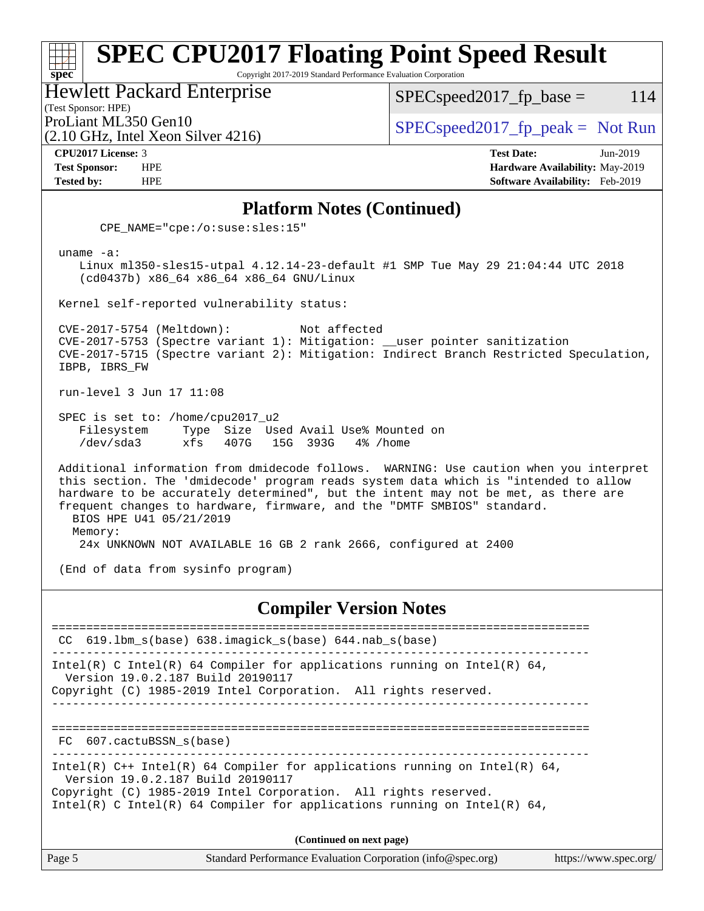Copyright 2017-2019 Standard Performance Evaluation Corporation

Hewlett Packard Enterprise

(2.10 GHz, Intel Xeon Silver 4216)

 $SPEC speed2017_fp\_base = 114$ 

(Test Sponsor: HPE)

ProLiant ML350 Gen10  $SPEC speed2017_f$   $peak = Not Run$ 

**[spec](http://www.spec.org/)**

**[CPU2017 License:](http://www.spec.org/auto/cpu2017/Docs/result-fields.html#CPU2017License)** 3 **[Test Date:](http://www.spec.org/auto/cpu2017/Docs/result-fields.html#TestDate)** Jun-2019 **[Test Sponsor:](http://www.spec.org/auto/cpu2017/Docs/result-fields.html#TestSponsor)** HPE **[Hardware Availability:](http://www.spec.org/auto/cpu2017/Docs/result-fields.html#HardwareAvailability)** May-2019 **[Tested by:](http://www.spec.org/auto/cpu2017/Docs/result-fields.html#Testedby)** HPE **[Software Availability:](http://www.spec.org/auto/cpu2017/Docs/result-fields.html#SoftwareAvailability)** Feb-2019

#### **[Platform Notes \(Continued\)](http://www.spec.org/auto/cpu2017/Docs/result-fields.html#PlatformNotes)**

CPE\_NAME="cpe:/o:suse:sles:15"

uname -a:

 Linux ml350-sles15-utpal 4.12.14-23-default #1 SMP Tue May 29 21:04:44 UTC 2018 (cd0437b) x86\_64 x86\_64 x86\_64 GNU/Linux

Kernel self-reported vulnerability status:

 CVE-2017-5754 (Meltdown): Not affected CVE-2017-5753 (Spectre variant 1): Mitigation: \_\_user pointer sanitization CVE-2017-5715 (Spectre variant 2): Mitigation: Indirect Branch Restricted Speculation, IBPB, IBRS\_FW

run-level 3 Jun 17 11:08

 SPEC is set to: /home/cpu2017\_u2 Filesystem Type Size Used Avail Use% Mounted on /dev/sda3 xfs 407G 15G 393G 4% /home

 Additional information from dmidecode follows. WARNING: Use caution when you interpret this section. The 'dmidecode' program reads system data which is "intended to allow hardware to be accurately determined", but the intent may not be met, as there are frequent changes to hardware, firmware, and the "DMTF SMBIOS" standard. BIOS HPE U41 05/21/2019 Memory:

24x UNKNOWN NOT AVAILABLE 16 GB 2 rank 2666, configured at 2400

(End of data from sysinfo program)

#### **[Compiler Version Notes](http://www.spec.org/auto/cpu2017/Docs/result-fields.html#CompilerVersionNotes)**

============================================================================== CC 619.lbm\_s(base) 638.imagick\_s(base) 644.nab\_s(base) ------------------------------------------------------------------------------ Intel(R) C Intel(R) 64 Compiler for applications running on Intel(R) 64, Version 19.0.2.187 Build 20190117 Copyright (C) 1985-2019 Intel Corporation. All rights reserved. ------------------------------------------------------------------------------ ============================================================================== FC 607.cactuBSSN\_s(base) ------------------------------------------------------------------------------ Intel(R)  $C++$  Intel(R) 64 Compiler for applications running on Intel(R) 64, Version 19.0.2.187 Build 20190117 Copyright (C) 1985-2019 Intel Corporation. All rights reserved. Intel(R) C Intel(R) 64 Compiler for applications running on Intel(R)  $64$ , **(Continued on next page)**

Page 5 Standard Performance Evaluation Corporation [\(info@spec.org\)](mailto:info@spec.org) <https://www.spec.org/>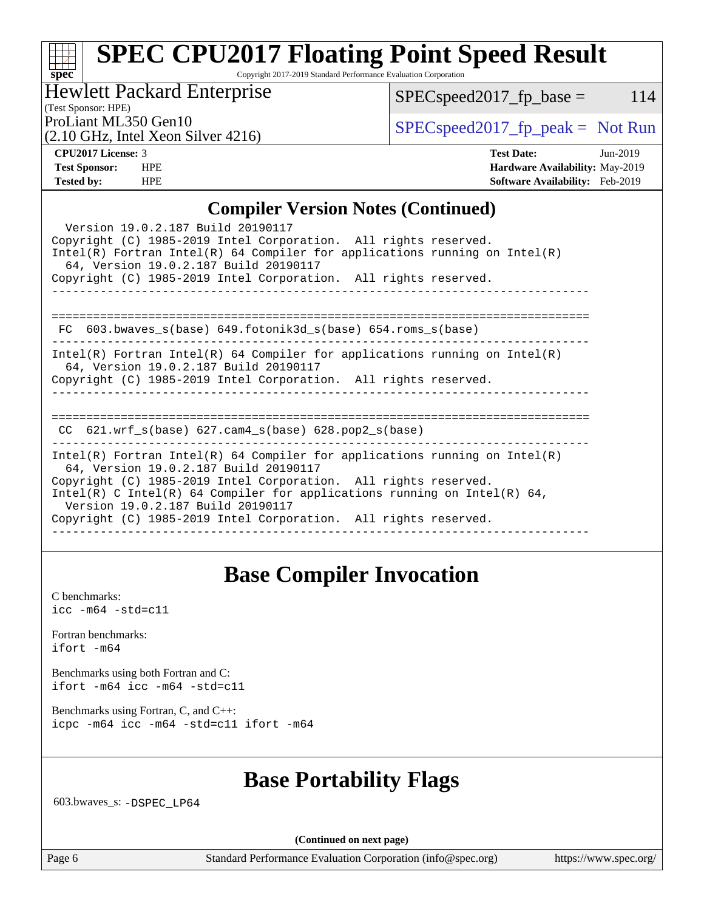Copyright 2017-2019 Standard Performance Evaluation Corporation

### Hewlett Packard Enterprise

 $SPEC speed2017_fp\_base = 114$ 

(Test Sponsor: HPE)

(2.10 GHz, Intel Xeon Silver 4216)

ProLiant ML350 Gen10  $SPEC speed2017$  [p\_peak = Not Run

| <b>CPU2017 License: 3</b> |
|---------------------------|
|---------------------------|

**[spec](http://www.spec.org/)**

**[CPU2017 License:](http://www.spec.org/auto/cpu2017/Docs/result-fields.html#CPU2017License)** 3 **[Test Date:](http://www.spec.org/auto/cpu2017/Docs/result-fields.html#TestDate)** Jun-2019 **[Test Sponsor:](http://www.spec.org/auto/cpu2017/Docs/result-fields.html#TestSponsor)** HPE **[Hardware Availability:](http://www.spec.org/auto/cpu2017/Docs/result-fields.html#HardwareAvailability)** May-2019 **[Tested by:](http://www.spec.org/auto/cpu2017/Docs/result-fields.html#Testedby)** HPE **[Software Availability:](http://www.spec.org/auto/cpu2017/Docs/result-fields.html#SoftwareAvailability)** Feb-2019

### **[Compiler Version Notes \(Continued\)](http://www.spec.org/auto/cpu2017/Docs/result-fields.html#CompilerVersionNotes)**

| Version 19.0.2.187 Build 20190117<br>Copyright (C) 1985-2019 Intel Corporation. All rights reserved.<br>Intel(R) Fortran Intel(R) 64 Compiler for applications running on Intel(R)<br>64, Version 19.0.2.187 Build 20190117                                                                                                                                                  |
|------------------------------------------------------------------------------------------------------------------------------------------------------------------------------------------------------------------------------------------------------------------------------------------------------------------------------------------------------------------------------|
| Copyright (C) 1985-2019 Intel Corporation. All rights reserved.                                                                                                                                                                                                                                                                                                              |
| FC $603.bwaves$ s(base) $649.fotonik3d$ s(base) $654.roms$ s(base)                                                                                                                                                                                                                                                                                                           |
| $Intel(R)$ Fortran Intel(R) 64 Compiler for applications running on Intel(R)<br>64, Version 19.0.2.187 Build 20190117<br>Copyright (C) 1985-2019 Intel Corporation. All rights reserved.                                                                                                                                                                                     |
| $CC$ 621.wrf_s(base) 627.cam4_s(base) 628.pop2_s(base)                                                                                                                                                                                                                                                                                                                       |
| $Intel(R)$ Fortran Intel(R) 64 Compiler for applications running on Intel(R)<br>64, Version 19.0.2.187 Build 20190117<br>Copyright (C) 1985-2019 Intel Corporation. All rights reserved.<br>Intel(R) C Intel(R) 64 Compiler for applications running on Intel(R) 64,<br>Version 19.0.2.187 Build 20190117<br>Copyright (C) 1985-2019 Intel Corporation. All rights reserved. |

## **[Base Compiler Invocation](http://www.spec.org/auto/cpu2017/Docs/result-fields.html#BaseCompilerInvocation)**

[C benchmarks](http://www.spec.org/auto/cpu2017/Docs/result-fields.html#Cbenchmarks): [icc -m64 -std=c11](http://www.spec.org/cpu2017/results/res2019q3/cpu2017-20190624-15537.flags.html#user_CCbase_intel_icc_64bit_c11_33ee0cdaae7deeeab2a9725423ba97205ce30f63b9926c2519791662299b76a0318f32ddfffdc46587804de3178b4f9328c46fa7c2b0cd779d7a61945c91cd35)

[Fortran benchmarks](http://www.spec.org/auto/cpu2017/Docs/result-fields.html#Fortranbenchmarks): [ifort -m64](http://www.spec.org/cpu2017/results/res2019q3/cpu2017-20190624-15537.flags.html#user_FCbase_intel_ifort_64bit_24f2bb282fbaeffd6157abe4f878425411749daecae9a33200eee2bee2fe76f3b89351d69a8130dd5949958ce389cf37ff59a95e7a40d588e8d3a57e0c3fd751)

[Benchmarks using both Fortran and C](http://www.spec.org/auto/cpu2017/Docs/result-fields.html#BenchmarksusingbothFortranandC): [ifort -m64](http://www.spec.org/cpu2017/results/res2019q3/cpu2017-20190624-15537.flags.html#user_CC_FCbase_intel_ifort_64bit_24f2bb282fbaeffd6157abe4f878425411749daecae9a33200eee2bee2fe76f3b89351d69a8130dd5949958ce389cf37ff59a95e7a40d588e8d3a57e0c3fd751) [icc -m64 -std=c11](http://www.spec.org/cpu2017/results/res2019q3/cpu2017-20190624-15537.flags.html#user_CC_FCbase_intel_icc_64bit_c11_33ee0cdaae7deeeab2a9725423ba97205ce30f63b9926c2519791662299b76a0318f32ddfffdc46587804de3178b4f9328c46fa7c2b0cd779d7a61945c91cd35)

[Benchmarks using Fortran, C, and C++:](http://www.spec.org/auto/cpu2017/Docs/result-fields.html#BenchmarksusingFortranCandCXX) [icpc -m64](http://www.spec.org/cpu2017/results/res2019q3/cpu2017-20190624-15537.flags.html#user_CC_CXX_FCbase_intel_icpc_64bit_4ecb2543ae3f1412ef961e0650ca070fec7b7afdcd6ed48761b84423119d1bf6bdf5cad15b44d48e7256388bc77273b966e5eb805aefd121eb22e9299b2ec9d9) [icc -m64 -std=c11](http://www.spec.org/cpu2017/results/res2019q3/cpu2017-20190624-15537.flags.html#user_CC_CXX_FCbase_intel_icc_64bit_c11_33ee0cdaae7deeeab2a9725423ba97205ce30f63b9926c2519791662299b76a0318f32ddfffdc46587804de3178b4f9328c46fa7c2b0cd779d7a61945c91cd35) [ifort -m64](http://www.spec.org/cpu2017/results/res2019q3/cpu2017-20190624-15537.flags.html#user_CC_CXX_FCbase_intel_ifort_64bit_24f2bb282fbaeffd6157abe4f878425411749daecae9a33200eee2bee2fe76f3b89351d69a8130dd5949958ce389cf37ff59a95e7a40d588e8d3a57e0c3fd751)

## **[Base Portability Flags](http://www.spec.org/auto/cpu2017/Docs/result-fields.html#BasePortabilityFlags)**

603.bwaves\_s: [-DSPEC\\_LP64](http://www.spec.org/cpu2017/results/res2019q3/cpu2017-20190624-15537.flags.html#suite_basePORTABILITY603_bwaves_s_DSPEC_LP64)

**(Continued on next page)**

Page 6 Standard Performance Evaluation Corporation [\(info@spec.org\)](mailto:info@spec.org) <https://www.spec.org/>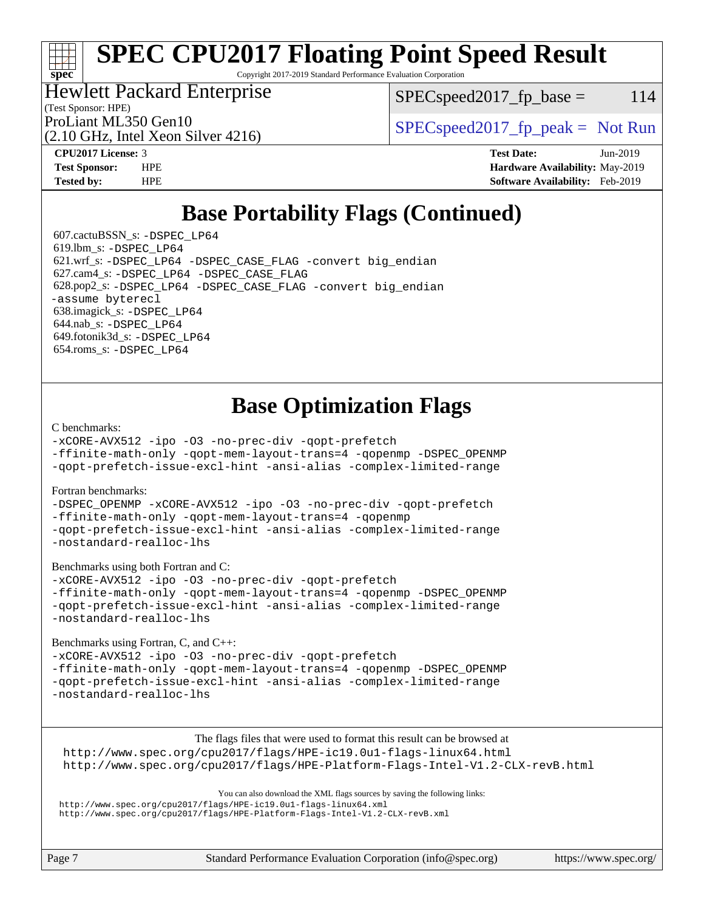Copyright 2017-2019 Standard Performance Evaluation Corporation

### Hewlett Packard Enterprise

 $SPEC speed2017<sub>fr</sub> base = 114$ 

(Test Sponsor: HPE)

(2.10 GHz, Intel Xeon Silver 4216)

ProLiant ML350 Gen10  $SPEC speed2017$  [p\_peak = Not Run

**[spec](http://www.spec.org/)**

**[CPU2017 License:](http://www.spec.org/auto/cpu2017/Docs/result-fields.html#CPU2017License)** 3 **[Test Date:](http://www.spec.org/auto/cpu2017/Docs/result-fields.html#TestDate)** Jun-2019 **[Test Sponsor:](http://www.spec.org/auto/cpu2017/Docs/result-fields.html#TestSponsor)** HPE **[Hardware Availability:](http://www.spec.org/auto/cpu2017/Docs/result-fields.html#HardwareAvailability)** May-2019 **[Tested by:](http://www.spec.org/auto/cpu2017/Docs/result-fields.html#Testedby)** HPE **[Software Availability:](http://www.spec.org/auto/cpu2017/Docs/result-fields.html#SoftwareAvailability)** Feb-2019

## **[Base Portability Flags \(Continued\)](http://www.spec.org/auto/cpu2017/Docs/result-fields.html#BasePortabilityFlags)**

 607.cactuBSSN\_s: [-DSPEC\\_LP64](http://www.spec.org/cpu2017/results/res2019q3/cpu2017-20190624-15537.flags.html#suite_basePORTABILITY607_cactuBSSN_s_DSPEC_LP64) 619.lbm\_s: [-DSPEC\\_LP64](http://www.spec.org/cpu2017/results/res2019q3/cpu2017-20190624-15537.flags.html#suite_basePORTABILITY619_lbm_s_DSPEC_LP64) 621.wrf\_s: [-DSPEC\\_LP64](http://www.spec.org/cpu2017/results/res2019q3/cpu2017-20190624-15537.flags.html#suite_basePORTABILITY621_wrf_s_DSPEC_LP64) [-DSPEC\\_CASE\\_FLAG](http://www.spec.org/cpu2017/results/res2019q3/cpu2017-20190624-15537.flags.html#b621.wrf_s_baseCPORTABILITY_DSPEC_CASE_FLAG) [-convert big\\_endian](http://www.spec.org/cpu2017/results/res2019q3/cpu2017-20190624-15537.flags.html#user_baseFPORTABILITY621_wrf_s_convert_big_endian_c3194028bc08c63ac5d04de18c48ce6d347e4e562e8892b8bdbdc0214820426deb8554edfa529a3fb25a586e65a3d812c835984020483e7e73212c4d31a38223) 627.cam4\_s: [-DSPEC\\_LP64](http://www.spec.org/cpu2017/results/res2019q3/cpu2017-20190624-15537.flags.html#suite_basePORTABILITY627_cam4_s_DSPEC_LP64) [-DSPEC\\_CASE\\_FLAG](http://www.spec.org/cpu2017/results/res2019q3/cpu2017-20190624-15537.flags.html#b627.cam4_s_baseCPORTABILITY_DSPEC_CASE_FLAG) 628.pop2\_s: [-DSPEC\\_LP64](http://www.spec.org/cpu2017/results/res2019q3/cpu2017-20190624-15537.flags.html#suite_basePORTABILITY628_pop2_s_DSPEC_LP64) [-DSPEC\\_CASE\\_FLAG](http://www.spec.org/cpu2017/results/res2019q3/cpu2017-20190624-15537.flags.html#b628.pop2_s_baseCPORTABILITY_DSPEC_CASE_FLAG) [-convert big\\_endian](http://www.spec.org/cpu2017/results/res2019q3/cpu2017-20190624-15537.flags.html#user_baseFPORTABILITY628_pop2_s_convert_big_endian_c3194028bc08c63ac5d04de18c48ce6d347e4e562e8892b8bdbdc0214820426deb8554edfa529a3fb25a586e65a3d812c835984020483e7e73212c4d31a38223) [-assume byterecl](http://www.spec.org/cpu2017/results/res2019q3/cpu2017-20190624-15537.flags.html#user_baseFPORTABILITY628_pop2_s_assume_byterecl_7e47d18b9513cf18525430bbf0f2177aa9bf368bc7a059c09b2c06a34b53bd3447c950d3f8d6c70e3faf3a05c8557d66a5798b567902e8849adc142926523472) 638.imagick\_s: [-DSPEC\\_LP64](http://www.spec.org/cpu2017/results/res2019q3/cpu2017-20190624-15537.flags.html#suite_basePORTABILITY638_imagick_s_DSPEC_LP64) 644.nab\_s: [-DSPEC\\_LP64](http://www.spec.org/cpu2017/results/res2019q3/cpu2017-20190624-15537.flags.html#suite_basePORTABILITY644_nab_s_DSPEC_LP64) 649.fotonik3d\_s: [-DSPEC\\_LP64](http://www.spec.org/cpu2017/results/res2019q3/cpu2017-20190624-15537.flags.html#suite_basePORTABILITY649_fotonik3d_s_DSPEC_LP64) 654.roms\_s: [-DSPEC\\_LP64](http://www.spec.org/cpu2017/results/res2019q3/cpu2017-20190624-15537.flags.html#suite_basePORTABILITY654_roms_s_DSPEC_LP64)

## **[Base Optimization Flags](http://www.spec.org/auto/cpu2017/Docs/result-fields.html#BaseOptimizationFlags)**

#### [C benchmarks](http://www.spec.org/auto/cpu2017/Docs/result-fields.html#Cbenchmarks):

[-xCORE-AVX512](http://www.spec.org/cpu2017/results/res2019q3/cpu2017-20190624-15537.flags.html#user_CCbase_f-xCORE-AVX512) [-ipo](http://www.spec.org/cpu2017/results/res2019q3/cpu2017-20190624-15537.flags.html#user_CCbase_f-ipo) [-O3](http://www.spec.org/cpu2017/results/res2019q3/cpu2017-20190624-15537.flags.html#user_CCbase_f-O3) [-no-prec-div](http://www.spec.org/cpu2017/results/res2019q3/cpu2017-20190624-15537.flags.html#user_CCbase_f-no-prec-div) [-qopt-prefetch](http://www.spec.org/cpu2017/results/res2019q3/cpu2017-20190624-15537.flags.html#user_CCbase_f-qopt-prefetch) [-ffinite-math-only](http://www.spec.org/cpu2017/results/res2019q3/cpu2017-20190624-15537.flags.html#user_CCbase_f_finite_math_only_cb91587bd2077682c4b38af759c288ed7c732db004271a9512da14a4f8007909a5f1427ecbf1a0fb78ff2a814402c6114ac565ca162485bbcae155b5e4258871) [-qopt-mem-layout-trans=4](http://www.spec.org/cpu2017/results/res2019q3/cpu2017-20190624-15537.flags.html#user_CCbase_f-qopt-mem-layout-trans_fa39e755916c150a61361b7846f310bcdf6f04e385ef281cadf3647acec3f0ae266d1a1d22d972a7087a248fd4e6ca390a3634700869573d231a252c784941a8) [-qopenmp](http://www.spec.org/cpu2017/results/res2019q3/cpu2017-20190624-15537.flags.html#user_CCbase_qopenmp_16be0c44f24f464004c6784a7acb94aca937f053568ce72f94b139a11c7c168634a55f6653758ddd83bcf7b8463e8028bb0b48b77bcddc6b78d5d95bb1df2967) [-DSPEC\\_OPENMP](http://www.spec.org/cpu2017/results/res2019q3/cpu2017-20190624-15537.flags.html#suite_CCbase_DSPEC_OPENMP)

[-qopt-prefetch-issue-excl-hint](http://www.spec.org/cpu2017/results/res2019q3/cpu2017-20190624-15537.flags.html#user_CCbase_f-qopt-prefetch-issue-excl-hint) [-ansi-alias](http://www.spec.org/cpu2017/results/res2019q3/cpu2017-20190624-15537.flags.html#user_CCbase_f-ansi-alias) [-complex-limited-range](http://www.spec.org/cpu2017/results/res2019q3/cpu2017-20190624-15537.flags.html#user_CCbase_f-complex-limited-range)

#### [Fortran benchmarks](http://www.spec.org/auto/cpu2017/Docs/result-fields.html#Fortranbenchmarks):

[-DSPEC\\_OPENMP](http://www.spec.org/cpu2017/results/res2019q3/cpu2017-20190624-15537.flags.html#suite_FCbase_DSPEC_OPENMP) [-xCORE-AVX512](http://www.spec.org/cpu2017/results/res2019q3/cpu2017-20190624-15537.flags.html#user_FCbase_f-xCORE-AVX512) [-ipo](http://www.spec.org/cpu2017/results/res2019q3/cpu2017-20190624-15537.flags.html#user_FCbase_f-ipo) [-O3](http://www.spec.org/cpu2017/results/res2019q3/cpu2017-20190624-15537.flags.html#user_FCbase_f-O3) [-no-prec-div](http://www.spec.org/cpu2017/results/res2019q3/cpu2017-20190624-15537.flags.html#user_FCbase_f-no-prec-div) [-qopt-prefetch](http://www.spec.org/cpu2017/results/res2019q3/cpu2017-20190624-15537.flags.html#user_FCbase_f-qopt-prefetch) [-ffinite-math-only](http://www.spec.org/cpu2017/results/res2019q3/cpu2017-20190624-15537.flags.html#user_FCbase_f_finite_math_only_cb91587bd2077682c4b38af759c288ed7c732db004271a9512da14a4f8007909a5f1427ecbf1a0fb78ff2a814402c6114ac565ca162485bbcae155b5e4258871) [-qopt-mem-layout-trans=4](http://www.spec.org/cpu2017/results/res2019q3/cpu2017-20190624-15537.flags.html#user_FCbase_f-qopt-mem-layout-trans_fa39e755916c150a61361b7846f310bcdf6f04e385ef281cadf3647acec3f0ae266d1a1d22d972a7087a248fd4e6ca390a3634700869573d231a252c784941a8) [-qopenmp](http://www.spec.org/cpu2017/results/res2019q3/cpu2017-20190624-15537.flags.html#user_FCbase_qopenmp_16be0c44f24f464004c6784a7acb94aca937f053568ce72f94b139a11c7c168634a55f6653758ddd83bcf7b8463e8028bb0b48b77bcddc6b78d5d95bb1df2967) [-qopt-prefetch-issue-excl-hint](http://www.spec.org/cpu2017/results/res2019q3/cpu2017-20190624-15537.flags.html#user_FCbase_f-qopt-prefetch-issue-excl-hint) [-ansi-alias](http://www.spec.org/cpu2017/results/res2019q3/cpu2017-20190624-15537.flags.html#user_FCbase_f-ansi-alias) [-complex-limited-range](http://www.spec.org/cpu2017/results/res2019q3/cpu2017-20190624-15537.flags.html#user_FCbase_f-complex-limited-range) [-nostandard-realloc-lhs](http://www.spec.org/cpu2017/results/res2019q3/cpu2017-20190624-15537.flags.html#user_FCbase_f_2003_std_realloc_82b4557e90729c0f113870c07e44d33d6f5a304b4f63d4c15d2d0f1fab99f5daaed73bdb9275d9ae411527f28b936061aa8b9c8f2d63842963b95c9dd6426b8a)

[Benchmarks using both Fortran and C](http://www.spec.org/auto/cpu2017/Docs/result-fields.html#BenchmarksusingbothFortranandC):

[-xCORE-AVX512](http://www.spec.org/cpu2017/results/res2019q3/cpu2017-20190624-15537.flags.html#user_CC_FCbase_f-xCORE-AVX512) [-ipo](http://www.spec.org/cpu2017/results/res2019q3/cpu2017-20190624-15537.flags.html#user_CC_FCbase_f-ipo) [-O3](http://www.spec.org/cpu2017/results/res2019q3/cpu2017-20190624-15537.flags.html#user_CC_FCbase_f-O3) [-no-prec-div](http://www.spec.org/cpu2017/results/res2019q3/cpu2017-20190624-15537.flags.html#user_CC_FCbase_f-no-prec-div) [-qopt-prefetch](http://www.spec.org/cpu2017/results/res2019q3/cpu2017-20190624-15537.flags.html#user_CC_FCbase_f-qopt-prefetch) [-ffinite-math-only](http://www.spec.org/cpu2017/results/res2019q3/cpu2017-20190624-15537.flags.html#user_CC_FCbase_f_finite_math_only_cb91587bd2077682c4b38af759c288ed7c732db004271a9512da14a4f8007909a5f1427ecbf1a0fb78ff2a814402c6114ac565ca162485bbcae155b5e4258871) [-qopt-mem-layout-trans=4](http://www.spec.org/cpu2017/results/res2019q3/cpu2017-20190624-15537.flags.html#user_CC_FCbase_f-qopt-mem-layout-trans_fa39e755916c150a61361b7846f310bcdf6f04e385ef281cadf3647acec3f0ae266d1a1d22d972a7087a248fd4e6ca390a3634700869573d231a252c784941a8) [-qopenmp](http://www.spec.org/cpu2017/results/res2019q3/cpu2017-20190624-15537.flags.html#user_CC_FCbase_qopenmp_16be0c44f24f464004c6784a7acb94aca937f053568ce72f94b139a11c7c168634a55f6653758ddd83bcf7b8463e8028bb0b48b77bcddc6b78d5d95bb1df2967) [-DSPEC\\_OPENMP](http://www.spec.org/cpu2017/results/res2019q3/cpu2017-20190624-15537.flags.html#suite_CC_FCbase_DSPEC_OPENMP) [-qopt-prefetch-issue-excl-hint](http://www.spec.org/cpu2017/results/res2019q3/cpu2017-20190624-15537.flags.html#user_CC_FCbase_f-qopt-prefetch-issue-excl-hint) [-ansi-alias](http://www.spec.org/cpu2017/results/res2019q3/cpu2017-20190624-15537.flags.html#user_CC_FCbase_f-ansi-alias) [-complex-limited-range](http://www.spec.org/cpu2017/results/res2019q3/cpu2017-20190624-15537.flags.html#user_CC_FCbase_f-complex-limited-range) [-nostandard-realloc-lhs](http://www.spec.org/cpu2017/results/res2019q3/cpu2017-20190624-15537.flags.html#user_CC_FCbase_f_2003_std_realloc_82b4557e90729c0f113870c07e44d33d6f5a304b4f63d4c15d2d0f1fab99f5daaed73bdb9275d9ae411527f28b936061aa8b9c8f2d63842963b95c9dd6426b8a)

[Benchmarks using Fortran, C, and C++:](http://www.spec.org/auto/cpu2017/Docs/result-fields.html#BenchmarksusingFortranCandCXX)

[-xCORE-AVX512](http://www.spec.org/cpu2017/results/res2019q3/cpu2017-20190624-15537.flags.html#user_CC_CXX_FCbase_f-xCORE-AVX512) [-ipo](http://www.spec.org/cpu2017/results/res2019q3/cpu2017-20190624-15537.flags.html#user_CC_CXX_FCbase_f-ipo) [-O3](http://www.spec.org/cpu2017/results/res2019q3/cpu2017-20190624-15537.flags.html#user_CC_CXX_FCbase_f-O3) [-no-prec-div](http://www.spec.org/cpu2017/results/res2019q3/cpu2017-20190624-15537.flags.html#user_CC_CXX_FCbase_f-no-prec-div) [-qopt-prefetch](http://www.spec.org/cpu2017/results/res2019q3/cpu2017-20190624-15537.flags.html#user_CC_CXX_FCbase_f-qopt-prefetch) [-ffinite-math-only](http://www.spec.org/cpu2017/results/res2019q3/cpu2017-20190624-15537.flags.html#user_CC_CXX_FCbase_f_finite_math_only_cb91587bd2077682c4b38af759c288ed7c732db004271a9512da14a4f8007909a5f1427ecbf1a0fb78ff2a814402c6114ac565ca162485bbcae155b5e4258871) [-qopt-mem-layout-trans=4](http://www.spec.org/cpu2017/results/res2019q3/cpu2017-20190624-15537.flags.html#user_CC_CXX_FCbase_f-qopt-mem-layout-trans_fa39e755916c150a61361b7846f310bcdf6f04e385ef281cadf3647acec3f0ae266d1a1d22d972a7087a248fd4e6ca390a3634700869573d231a252c784941a8) [-qopenmp](http://www.spec.org/cpu2017/results/res2019q3/cpu2017-20190624-15537.flags.html#user_CC_CXX_FCbase_qopenmp_16be0c44f24f464004c6784a7acb94aca937f053568ce72f94b139a11c7c168634a55f6653758ddd83bcf7b8463e8028bb0b48b77bcddc6b78d5d95bb1df2967) [-DSPEC\\_OPENMP](http://www.spec.org/cpu2017/results/res2019q3/cpu2017-20190624-15537.flags.html#suite_CC_CXX_FCbase_DSPEC_OPENMP) [-qopt-prefetch-issue-excl-hint](http://www.spec.org/cpu2017/results/res2019q3/cpu2017-20190624-15537.flags.html#user_CC_CXX_FCbase_f-qopt-prefetch-issue-excl-hint) [-ansi-alias](http://www.spec.org/cpu2017/results/res2019q3/cpu2017-20190624-15537.flags.html#user_CC_CXX_FCbase_f-ansi-alias) [-complex-limited-range](http://www.spec.org/cpu2017/results/res2019q3/cpu2017-20190624-15537.flags.html#user_CC_CXX_FCbase_f-complex-limited-range) [-nostandard-realloc-lhs](http://www.spec.org/cpu2017/results/res2019q3/cpu2017-20190624-15537.flags.html#user_CC_CXX_FCbase_f_2003_std_realloc_82b4557e90729c0f113870c07e44d33d6f5a304b4f63d4c15d2d0f1fab99f5daaed73bdb9275d9ae411527f28b936061aa8b9c8f2d63842963b95c9dd6426b8a)

The flags files that were used to format this result can be browsed at <http://www.spec.org/cpu2017/flags/HPE-ic19.0u1-flags-linux64.html> <http://www.spec.org/cpu2017/flags/HPE-Platform-Flags-Intel-V1.2-CLX-revB.html>

You can also download the XML flags sources by saving the following links: <http://www.spec.org/cpu2017/flags/HPE-ic19.0u1-flags-linux64.xml> <http://www.spec.org/cpu2017/flags/HPE-Platform-Flags-Intel-V1.2-CLX-revB.xml>